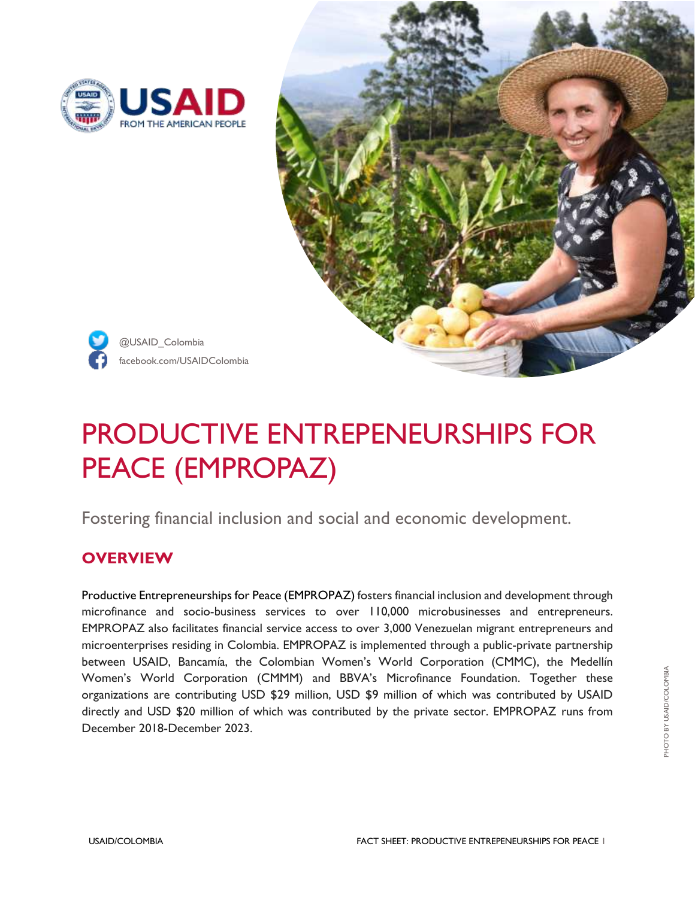



facebook.com/USAIDColombia @USAID\_Colombia

# PRODUCTIVE ENTREPENEURSHIPS FOR PEACE (EMPROPAZ)

Fostering financial inclusion and social and economic development.

## **OVERVIEW**

Productive Entrepreneurships for Peace (EMPROPAZ) fosters financial inclusion and development through microfinance and socio-business services to over 110,000 microbusinesses and entrepreneurs. EMPROPAZ also facilitates financial service access to over 3,000 Venezuelan migrant entrepreneurs and microenterprises residing in Colombia. EMPROPAZ is implemented through a public-private partnership between USAID, Bancamía, the Colombian Women's World Corporation (CMMC), the Medellín Women's World Corporation (CMMM) and BBVA's Microfinance Foundation. Together these organizations are contributing USD \$29 million, USD \$9 million of which was contributed by USAID directly and USD \$20 million of which was contributed by the private sector. EMPROPAZ runs from December 2018-December 2023.